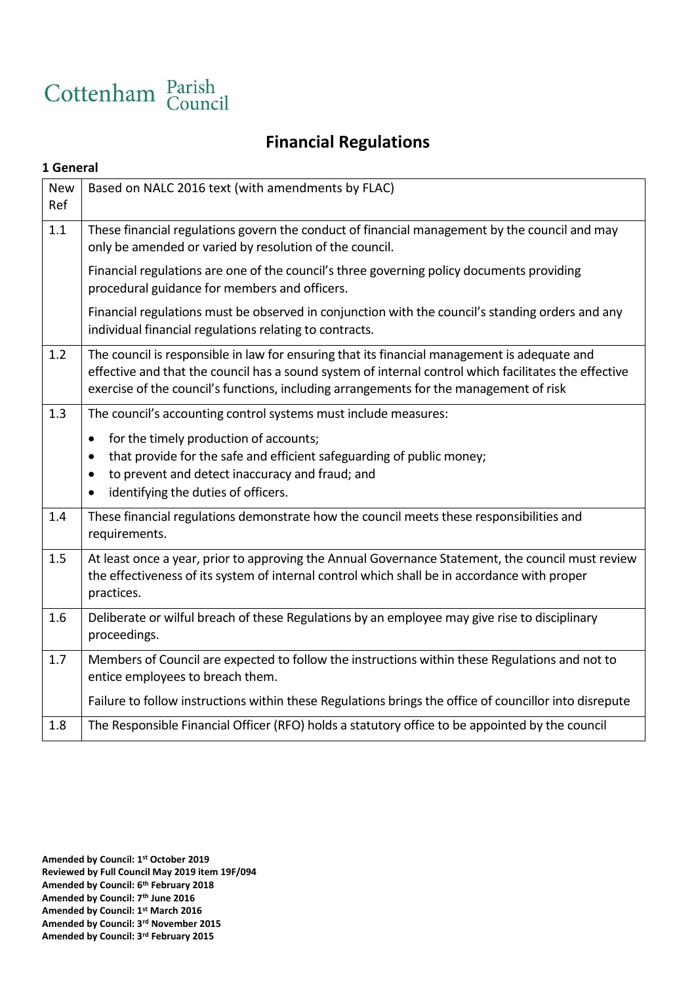

# **Financial Regulations**

#### **1 General**

| <b>New</b><br>Ref | Based on NALC 2016 text (with amendments by FLAC)                                                                                                                                                                                                                                                                                |
|-------------------|----------------------------------------------------------------------------------------------------------------------------------------------------------------------------------------------------------------------------------------------------------------------------------------------------------------------------------|
| 1.1               | These financial regulations govern the conduct of financial management by the council and may<br>only be amended or varied by resolution of the council.                                                                                                                                                                         |
|                   | Financial regulations are one of the council's three governing policy documents providing<br>procedural guidance for members and officers.                                                                                                                                                                                       |
|                   | Financial regulations must be observed in conjunction with the council's standing orders and any<br>individual financial regulations relating to contracts.                                                                                                                                                                      |
| 1.2               | The council is responsible in law for ensuring that its financial management is adequate and<br>effective and that the council has a sound system of internal control which facilitates the effective<br>exercise of the council's functions, including arrangements for the management of risk                                  |
| 1.3               | The council's accounting control systems must include measures:<br>for the timely production of accounts;<br>$\bullet$<br>that provide for the safe and efficient safeguarding of public money;<br>$\bullet$<br>to prevent and detect inaccuracy and fraud; and<br>$\bullet$<br>identifying the duties of officers.<br>$\bullet$ |
| 1.4               | These financial regulations demonstrate how the council meets these responsibilities and<br>requirements.                                                                                                                                                                                                                        |
| 1.5               | At least once a year, prior to approving the Annual Governance Statement, the council must review<br>the effectiveness of its system of internal control which shall be in accordance with proper<br>practices.                                                                                                                  |
| 1.6               | Deliberate or wilful breach of these Regulations by an employee may give rise to disciplinary<br>proceedings.                                                                                                                                                                                                                    |
| 1.7               | Members of Council are expected to follow the instructions within these Regulations and not to<br>entice employees to breach them.                                                                                                                                                                                               |
|                   | Failure to follow instructions within these Regulations brings the office of councillor into disrepute                                                                                                                                                                                                                           |
| 1.8               | The Responsible Financial Officer (RFO) holds a statutory office to be appointed by the council                                                                                                                                                                                                                                  |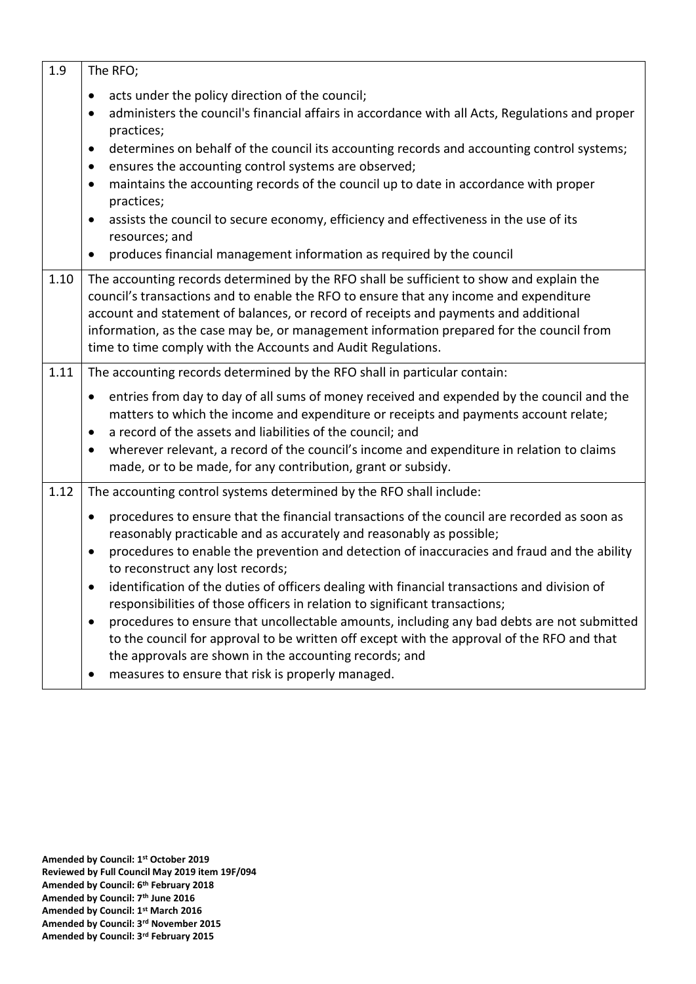| 1.9  | The RFO;                                                                                                                                                                                                                                                                                                                                                                                                                                                                                                                                                                                                                                                                                                                                                                                                                                                                                                       |
|------|----------------------------------------------------------------------------------------------------------------------------------------------------------------------------------------------------------------------------------------------------------------------------------------------------------------------------------------------------------------------------------------------------------------------------------------------------------------------------------------------------------------------------------------------------------------------------------------------------------------------------------------------------------------------------------------------------------------------------------------------------------------------------------------------------------------------------------------------------------------------------------------------------------------|
|      | acts under the policy direction of the council;<br>$\bullet$<br>administers the council's financial affairs in accordance with all Acts, Regulations and proper<br>$\bullet$<br>practices;<br>determines on behalf of the council its accounting records and accounting control systems;<br>$\bullet$<br>ensures the accounting control systems are observed;<br>$\bullet$<br>maintains the accounting records of the council up to date in accordance with proper<br>$\bullet$<br>practices;<br>assists the council to secure economy, efficiency and effectiveness in the use of its<br>$\bullet$<br>resources; and<br>produces financial management information as required by the council<br>$\bullet$                                                                                                                                                                                                     |
| 1.10 | The accounting records determined by the RFO shall be sufficient to show and explain the<br>council's transactions and to enable the RFO to ensure that any income and expenditure<br>account and statement of balances, or record of receipts and payments and additional<br>information, as the case may be, or management information prepared for the council from<br>time to time comply with the Accounts and Audit Regulations.                                                                                                                                                                                                                                                                                                                                                                                                                                                                         |
| 1.11 | The accounting records determined by the RFO shall in particular contain:<br>entries from day to day of all sums of money received and expended by the council and the<br>$\bullet$<br>matters to which the income and expenditure or receipts and payments account relate;<br>a record of the assets and liabilities of the council; and<br>$\bullet$<br>wherever relevant, a record of the council's income and expenditure in relation to claims<br>$\bullet$<br>made, or to be made, for any contribution, grant or subsidy.                                                                                                                                                                                                                                                                                                                                                                               |
| 1.12 | The accounting control systems determined by the RFO shall include:<br>procedures to ensure that the financial transactions of the council are recorded as soon as<br>$\bullet$<br>reasonably practicable and as accurately and reasonably as possible;<br>procedures to enable the prevention and detection of inaccuracies and fraud and the ability<br>$\bullet$<br>to reconstruct any lost records;<br>identification of the duties of officers dealing with financial transactions and division of<br>responsibilities of those officers in relation to significant transactions;<br>procedures to ensure that uncollectable amounts, including any bad debts are not submitted<br>$\bullet$<br>to the council for approval to be written off except with the approval of the RFO and that<br>the approvals are shown in the accounting records; and<br>measures to ensure that risk is properly managed. |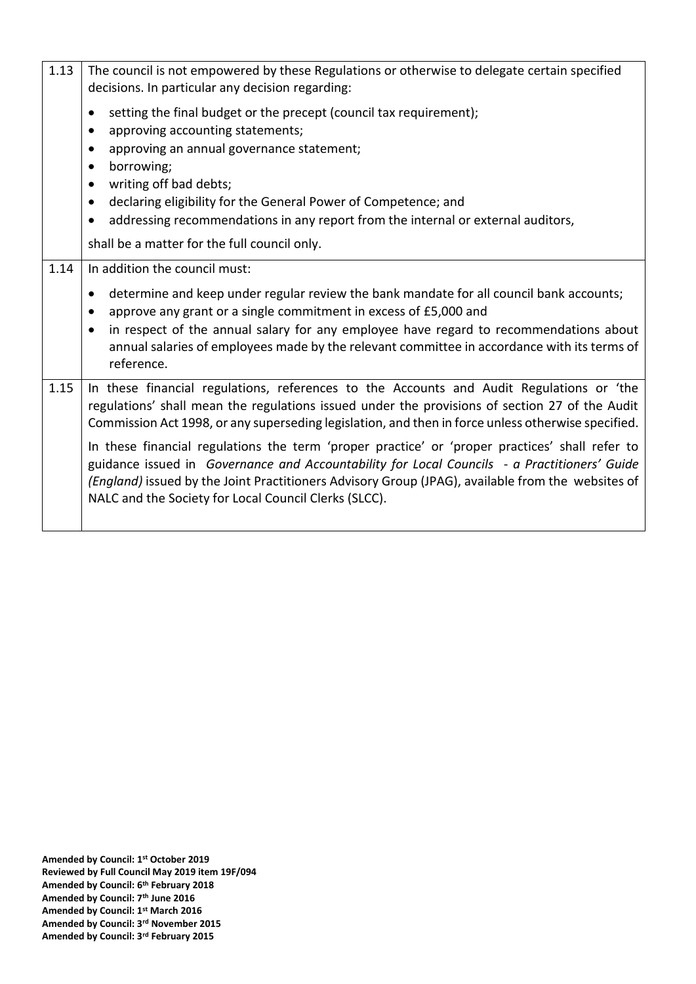| The council is not empowered by these Regulations or otherwise to delegate certain specified<br>decisions. In particular any decision regarding:                                                                                                                                                                                                                                                                                                                                                                                                                                                                                                                 |
|------------------------------------------------------------------------------------------------------------------------------------------------------------------------------------------------------------------------------------------------------------------------------------------------------------------------------------------------------------------------------------------------------------------------------------------------------------------------------------------------------------------------------------------------------------------------------------------------------------------------------------------------------------------|
| setting the final budget or the precept (council tax requirement);<br>$\bullet$<br>approving accounting statements;<br>$\bullet$<br>approving an annual governance statement;<br>$\bullet$<br>borrowing;<br>$\bullet$<br>writing off bad debts;<br>$\bullet$<br>declaring eligibility for the General Power of Competence; and<br>$\bullet$<br>addressing recommendations in any report from the internal or external auditors,<br>$\bullet$<br>shall be a matter for the full council only.                                                                                                                                                                     |
| In addition the council must:<br>determine and keep under regular review the bank mandate for all council bank accounts;<br>$\bullet$<br>approve any grant or a single commitment in excess of £5,000 and<br>$\bullet$<br>in respect of the annual salary for any employee have regard to recommendations about<br>$\bullet$<br>annual salaries of employees made by the relevant committee in accordance with its terms of<br>reference.                                                                                                                                                                                                                        |
| In these financial regulations, references to the Accounts and Audit Regulations or 'the<br>regulations' shall mean the regulations issued under the provisions of section 27 of the Audit<br>Commission Act 1998, or any superseding legislation, and then in force unless otherwise specified.<br>In these financial regulations the term 'proper practice' or 'proper practices' shall refer to<br>guidance issued in Governance and Accountability for Local Councils - a Practitioners' Guide<br>(England) issued by the Joint Practitioners Advisory Group (JPAG), available from the websites of<br>NALC and the Society for Local Council Clerks (SLCC). |
|                                                                                                                                                                                                                                                                                                                                                                                                                                                                                                                                                                                                                                                                  |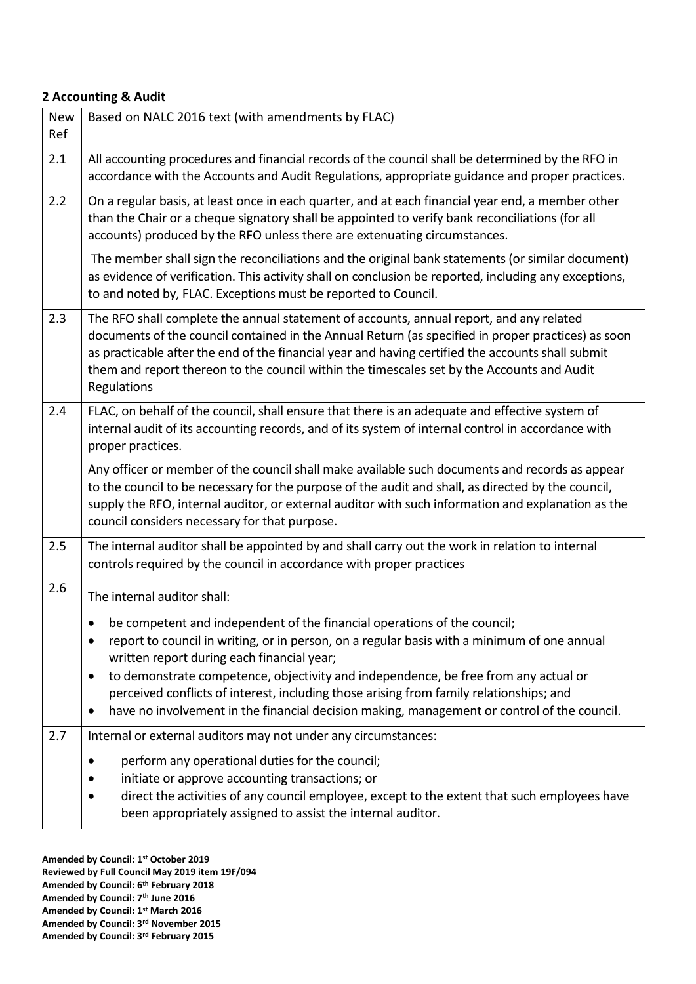#### **2 Accounting & Audit**

| <b>New</b><br>Ref | Based on NALC 2016 text (with amendments by FLAC)                                                                                                                                                                                                                                                                                                                                                                                                                                                                                     |
|-------------------|---------------------------------------------------------------------------------------------------------------------------------------------------------------------------------------------------------------------------------------------------------------------------------------------------------------------------------------------------------------------------------------------------------------------------------------------------------------------------------------------------------------------------------------|
| 2.1               | All accounting procedures and financial records of the council shall be determined by the RFO in<br>accordance with the Accounts and Audit Regulations, appropriate guidance and proper practices.                                                                                                                                                                                                                                                                                                                                    |
| 2.2               | On a regular basis, at least once in each quarter, and at each financial year end, a member other<br>than the Chair or a cheque signatory shall be appointed to verify bank reconciliations (for all<br>accounts) produced by the RFO unless there are extenuating circumstances.                                                                                                                                                                                                                                                     |
|                   | The member shall sign the reconciliations and the original bank statements (or similar document)<br>as evidence of verification. This activity shall on conclusion be reported, including any exceptions,<br>to and noted by, FLAC. Exceptions must be reported to Council.                                                                                                                                                                                                                                                           |
| 2.3               | The RFO shall complete the annual statement of accounts, annual report, and any related<br>documents of the council contained in the Annual Return (as specified in proper practices) as soon<br>as practicable after the end of the financial year and having certified the accounts shall submit<br>them and report thereon to the council within the timescales set by the Accounts and Audit<br>Regulations                                                                                                                       |
| 2.4               | FLAC, on behalf of the council, shall ensure that there is an adequate and effective system of<br>internal audit of its accounting records, and of its system of internal control in accordance with<br>proper practices.                                                                                                                                                                                                                                                                                                             |
|                   | Any officer or member of the council shall make available such documents and records as appear<br>to the council to be necessary for the purpose of the audit and shall, as directed by the council,<br>supply the RFO, internal auditor, or external auditor with such information and explanation as the<br>council considers necessary for that purpose.                                                                                                                                                                           |
| 2.5               | The internal auditor shall be appointed by and shall carry out the work in relation to internal<br>controls required by the council in accordance with proper practices                                                                                                                                                                                                                                                                                                                                                               |
| 2.6               | The internal auditor shall:<br>be competent and independent of the financial operations of the council;<br>report to council in writing, or in person, on a regular basis with a minimum of one annual<br>written report during each financial year;<br>to demonstrate competence, objectivity and independence, be free from any actual or<br>perceived conflicts of interest, including those arising from family relationships; and<br>have no involvement in the financial decision making, management or control of the council. |
| 2.7               | Internal or external auditors may not under any circumstances:<br>perform any operational duties for the council;<br>initiate or approve accounting transactions; or<br>direct the activities of any council employee, except to the extent that such employees have<br>been appropriately assigned to assist the internal auditor.                                                                                                                                                                                                   |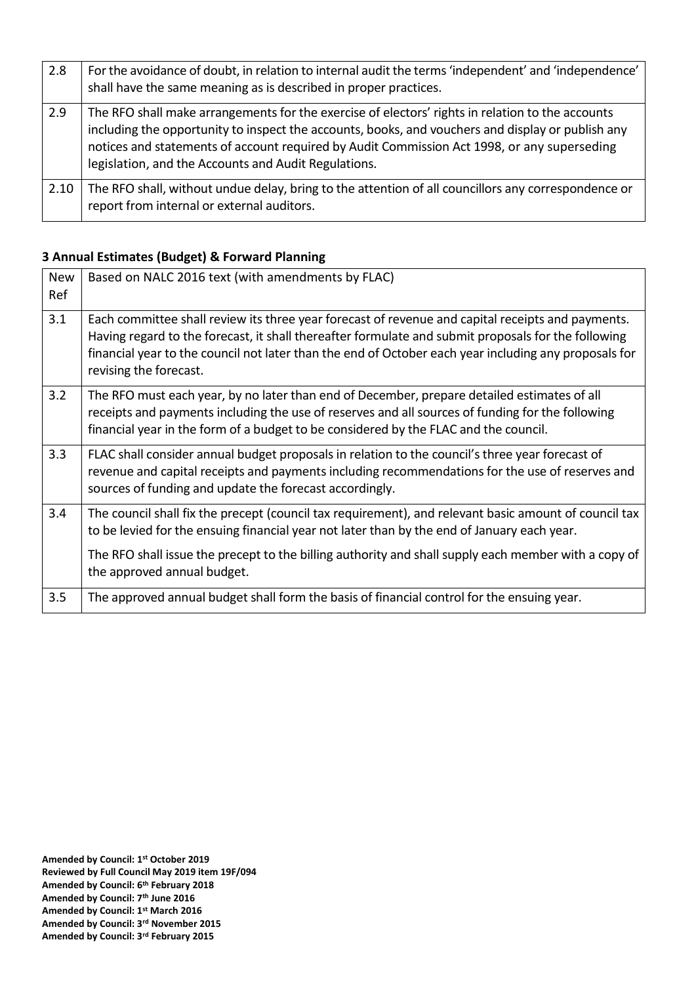| 2.8  | For the avoidance of doubt, in relation to internal audit the terms 'independent' and 'independence'<br>shall have the same meaning as is described in proper practices.                                                                                                                                                                                     |
|------|--------------------------------------------------------------------------------------------------------------------------------------------------------------------------------------------------------------------------------------------------------------------------------------------------------------------------------------------------------------|
| 2.9  | The RFO shall make arrangements for the exercise of electors' rights in relation to the accounts<br>including the opportunity to inspect the accounts, books, and vouchers and display or publish any<br>notices and statements of account required by Audit Commission Act 1998, or any superseding<br>legislation, and the Accounts and Audit Regulations. |
| 2.10 | The RFO shall, without undue delay, bring to the attention of all councillors any correspondence or<br>report from internal or external auditors.                                                                                                                                                                                                            |

## **3 Annual Estimates (Budget) & Forward Planning**

| <b>New</b> | Based on NALC 2016 text (with amendments by FLAC)                                                     |
|------------|-------------------------------------------------------------------------------------------------------|
| Ref        |                                                                                                       |
|            |                                                                                                       |
| 3.1        | Each committee shall review its three year forecast of revenue and capital receipts and payments.     |
|            | Having regard to the forecast, it shall thereafter formulate and submit proposals for the following   |
|            | financial year to the council not later than the end of October each year including any proposals for |
|            | revising the forecast.                                                                                |
|            |                                                                                                       |
| 3.2        | The RFO must each year, by no later than end of December, prepare detailed estimates of all           |
|            | receipts and payments including the use of reserves and all sources of funding for the following      |
|            | financial year in the form of a budget to be considered by the FLAC and the council.                  |
|            |                                                                                                       |
| 3.3        | FLAC shall consider annual budget proposals in relation to the council's three year forecast of       |
|            | revenue and capital receipts and payments including recommendations for the use of reserves and       |
|            | sources of funding and update the forecast accordingly.                                               |
|            |                                                                                                       |
| 3.4        | The council shall fix the precept (council tax requirement), and relevant basic amount of council tax |
|            | to be levied for the ensuing financial year not later than by the end of January each year.           |
|            |                                                                                                       |
|            | The RFO shall issue the precept to the billing authority and shall supply each member with a copy of  |
|            | the approved annual budget.                                                                           |
|            |                                                                                                       |
| 3.5        | The approved annual budget shall form the basis of financial control for the ensuing year.            |
|            |                                                                                                       |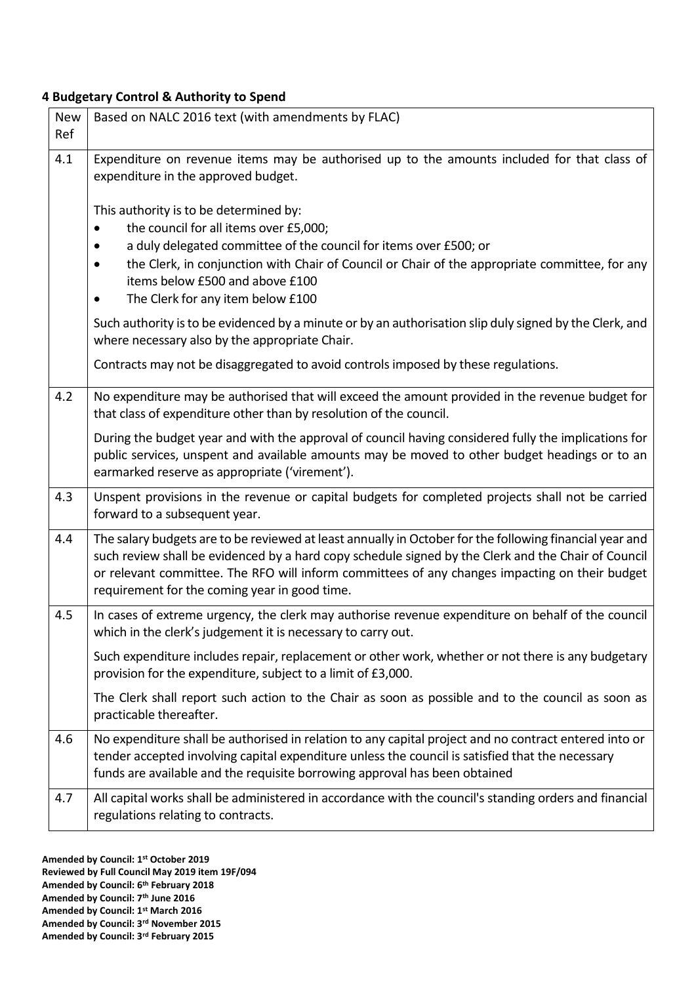## **4 Budgetary Control & Authority to Spend**

| <b>New</b><br>Ref | Based on NALC 2016 text (with amendments by FLAC)                                                                                                                                                                                                                                                                                                                 |
|-------------------|-------------------------------------------------------------------------------------------------------------------------------------------------------------------------------------------------------------------------------------------------------------------------------------------------------------------------------------------------------------------|
| 4.1               | Expenditure on revenue items may be authorised up to the amounts included for that class of<br>expenditure in the approved budget.                                                                                                                                                                                                                                |
|                   | This authority is to be determined by:<br>the council for all items over £5,000;<br>$\bullet$<br>a duly delegated committee of the council for items over £500; or<br>the Clerk, in conjunction with Chair of Council or Chair of the appropriate committee, for any<br>items below £500 and above £100<br>The Clerk for any item below £100                      |
|                   | Such authority is to be evidenced by a minute or by an authorisation slip duly signed by the Clerk, and<br>where necessary also by the appropriate Chair.                                                                                                                                                                                                         |
|                   | Contracts may not be disaggregated to avoid controls imposed by these regulations.                                                                                                                                                                                                                                                                                |
| 4.2               | No expenditure may be authorised that will exceed the amount provided in the revenue budget for<br>that class of expenditure other than by resolution of the council.                                                                                                                                                                                             |
|                   | During the budget year and with the approval of council having considered fully the implications for<br>public services, unspent and available amounts may be moved to other budget headings or to an<br>earmarked reserve as appropriate ('virement').                                                                                                           |
| 4.3               | Unspent provisions in the revenue or capital budgets for completed projects shall not be carried<br>forward to a subsequent year.                                                                                                                                                                                                                                 |
| 4.4               | The salary budgets are to be reviewed at least annually in October for the following financial year and<br>such review shall be evidenced by a hard copy schedule signed by the Clerk and the Chair of Council<br>or relevant committee. The RFO will inform committees of any changes impacting on their budget<br>requirement for the coming year in good time. |
| 4.5               | In cases of extreme urgency, the clerk may authorise revenue expenditure on behalf of the council<br>which in the clerk's judgement it is necessary to carry out.                                                                                                                                                                                                 |
|                   | Such expenditure includes repair, replacement or other work, whether or not there is any budgetary<br>provision for the expenditure, subject to a limit of £3,000.                                                                                                                                                                                                |
|                   | The Clerk shall report such action to the Chair as soon as possible and to the council as soon as<br>practicable thereafter.                                                                                                                                                                                                                                      |
| 4.6               | No expenditure shall be authorised in relation to any capital project and no contract entered into or<br>tender accepted involving capital expenditure unless the council is satisfied that the necessary<br>funds are available and the requisite borrowing approval has been obtained                                                                           |
| 4.7               | All capital works shall be administered in accordance with the council's standing orders and financial<br>regulations relating to contracts.                                                                                                                                                                                                                      |

**Amended by Council: 1st October 2019**

**Reviewed by Full Council May 2019 item 19F/094**

- **Amended by Council: 6th February 2018**
- **Amended by Council: 7th June 2016**
- **Amended by Council: 1st March 2016 Amended by Council: 3rd November 2015**
- **Amended by Council: 3rd February 2015**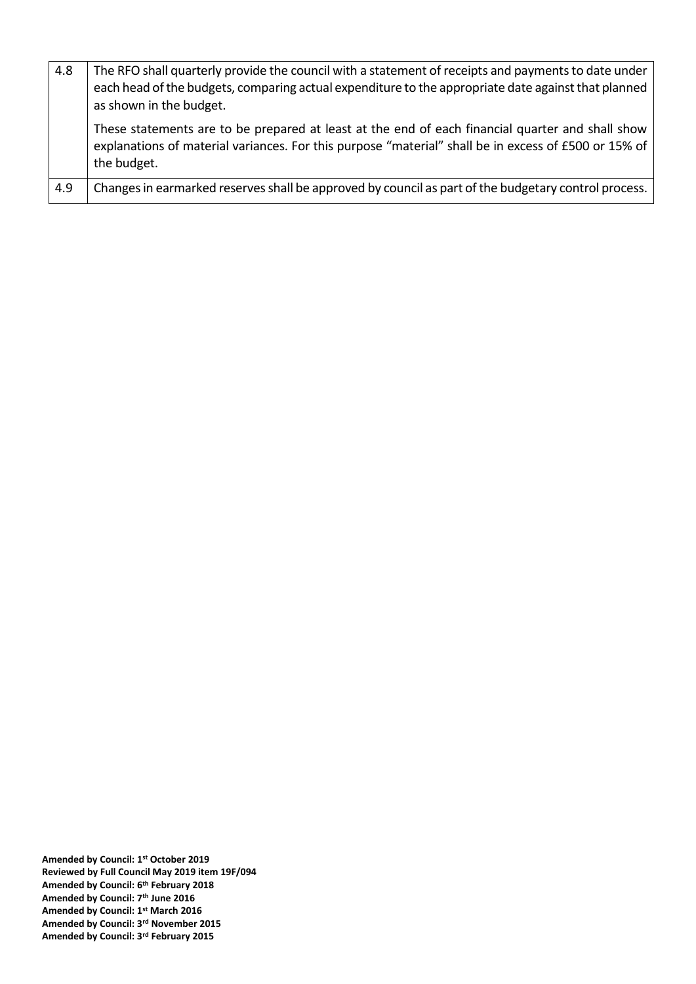| 4.8 | The RFO shall quarterly provide the council with a statement of receipts and payments to date under<br>each head of the budgets, comparing actual expenditure to the appropriate date against that planned<br>as shown in the budget. |
|-----|---------------------------------------------------------------------------------------------------------------------------------------------------------------------------------------------------------------------------------------|
|     | These statements are to be prepared at least at the end of each financial quarter and shall show<br>explanations of material variances. For this purpose "material" shall be in excess of £500 or 15% of<br>the budget.               |
| 4.9 | Changes in earmarked reserves shall be approved by council as part of the budgetary control process.                                                                                                                                  |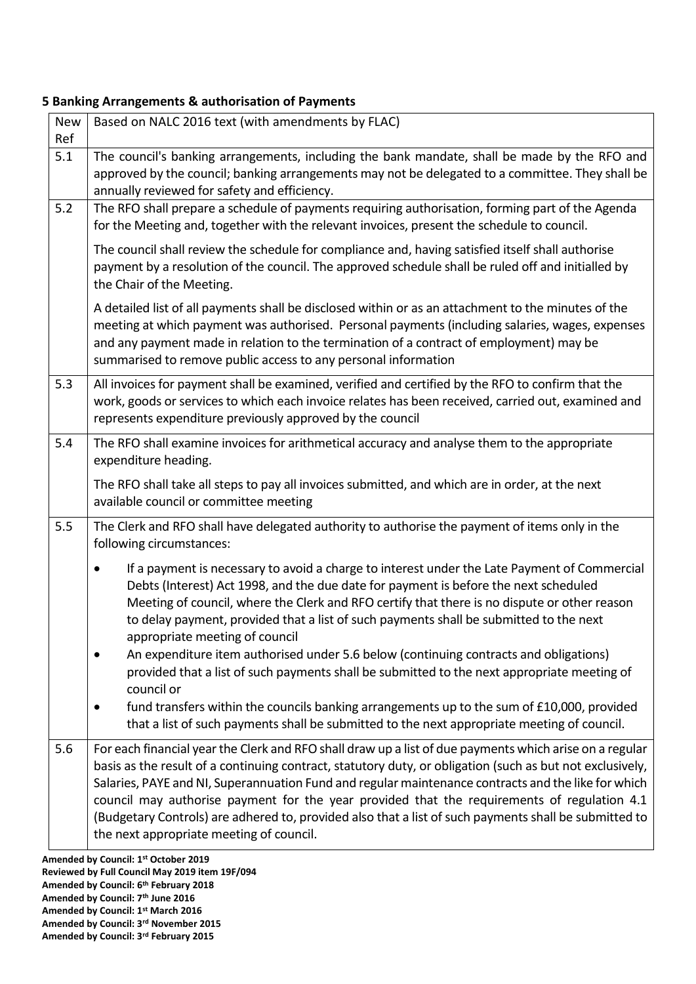## **5 Banking Arrangements & authorisation of Payments**

| <b>New</b><br>Ref | Based on NALC 2016 text (with amendments by FLAC)                                                                                                                                                                                                                                                                                                                                                                                                                                                                                                                               |
|-------------------|---------------------------------------------------------------------------------------------------------------------------------------------------------------------------------------------------------------------------------------------------------------------------------------------------------------------------------------------------------------------------------------------------------------------------------------------------------------------------------------------------------------------------------------------------------------------------------|
| 5.1               | The council's banking arrangements, including the bank mandate, shall be made by the RFO and<br>approved by the council; banking arrangements may not be delegated to a committee. They shall be<br>annually reviewed for safety and efficiency.                                                                                                                                                                                                                                                                                                                                |
| 5.2               | The RFO shall prepare a schedule of payments requiring authorisation, forming part of the Agenda<br>for the Meeting and, together with the relevant invoices, present the schedule to council.                                                                                                                                                                                                                                                                                                                                                                                  |
|                   | The council shall review the schedule for compliance and, having satisfied itself shall authorise<br>payment by a resolution of the council. The approved schedule shall be ruled off and initialled by<br>the Chair of the Meeting.                                                                                                                                                                                                                                                                                                                                            |
|                   | A detailed list of all payments shall be disclosed within or as an attachment to the minutes of the<br>meeting at which payment was authorised. Personal payments (including salaries, wages, expenses<br>and any payment made in relation to the termination of a contract of employment) may be<br>summarised to remove public access to any personal information                                                                                                                                                                                                             |
| 5.3               | All invoices for payment shall be examined, verified and certified by the RFO to confirm that the<br>work, goods or services to which each invoice relates has been received, carried out, examined and<br>represents expenditure previously approved by the council                                                                                                                                                                                                                                                                                                            |
| 5.4               | The RFO shall examine invoices for arithmetical accuracy and analyse them to the appropriate<br>expenditure heading.                                                                                                                                                                                                                                                                                                                                                                                                                                                            |
|                   | The RFO shall take all steps to pay all invoices submitted, and which are in order, at the next<br>available council or committee meeting                                                                                                                                                                                                                                                                                                                                                                                                                                       |
| 5.5               | The Clerk and RFO shall have delegated authority to authorise the payment of items only in the<br>following circumstances:                                                                                                                                                                                                                                                                                                                                                                                                                                                      |
|                   | If a payment is necessary to avoid a charge to interest under the Late Payment of Commercial<br>Debts (Interest) Act 1998, and the due date for payment is before the next scheduled<br>Meeting of council, where the Clerk and RFO certify that there is no dispute or other reason<br>to delay payment, provided that a list of such payments shall be submitted to the next<br>appropriate meeting of council<br>An expenditure item authorised under 5.6 below (continuing contracts and obligations)                                                                       |
|                   | provided that a list of such payments shall be submitted to the next appropriate meeting of<br>council or<br>fund transfers within the councils banking arrangements up to the sum of £10,000, provided<br>that a list of such payments shall be submitted to the next appropriate meeting of council.                                                                                                                                                                                                                                                                          |
| 5.6               | For each financial year the Clerk and RFO shall draw up a list of due payments which arise on a regular<br>basis as the result of a continuing contract, statutory duty, or obligation (such as but not exclusively,<br>Salaries, PAYE and NI, Superannuation Fund and regular maintenance contracts and the like for which<br>council may authorise payment for the year provided that the requirements of regulation 4.1<br>(Budgetary Controls) are adhered to, provided also that a list of such payments shall be submitted to<br>the next appropriate meeting of council. |

**Amended by Council: 6th February 2018 Amended by Council: 7th June 2016 Amended by Council: 1st March 2016 Amended by Council: 3rd November 2015 Amended by Council: 3rd February 2015**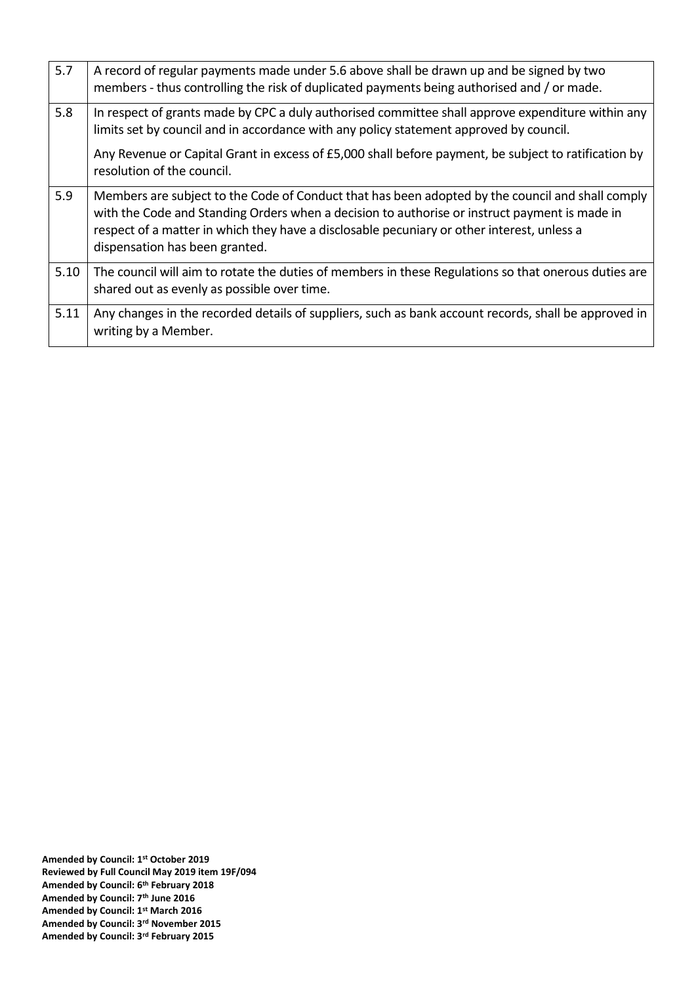| 5.7  | A record of regular payments made under 5.6 above shall be drawn up and be signed by two<br>members - thus controlling the risk of duplicated payments being authorised and / or made.                                                                                                                                            |
|------|-----------------------------------------------------------------------------------------------------------------------------------------------------------------------------------------------------------------------------------------------------------------------------------------------------------------------------------|
| 5.8  | In respect of grants made by CPC a duly authorised committee shall approve expenditure within any<br>limits set by council and in accordance with any policy statement approved by council.                                                                                                                                       |
|      | Any Revenue or Capital Grant in excess of £5,000 shall before payment, be subject to ratification by<br>resolution of the council.                                                                                                                                                                                                |
| 5.9  | Members are subject to the Code of Conduct that has been adopted by the council and shall comply<br>with the Code and Standing Orders when a decision to authorise or instruct payment is made in<br>respect of a matter in which they have a disclosable pecuniary or other interest, unless a<br>dispensation has been granted. |
| 5.10 | The council will aim to rotate the duties of members in these Regulations so that onerous duties are<br>shared out as evenly as possible over time.                                                                                                                                                                               |
| 5.11 | Any changes in the recorded details of suppliers, such as bank account records, shall be approved in<br>writing by a Member.                                                                                                                                                                                                      |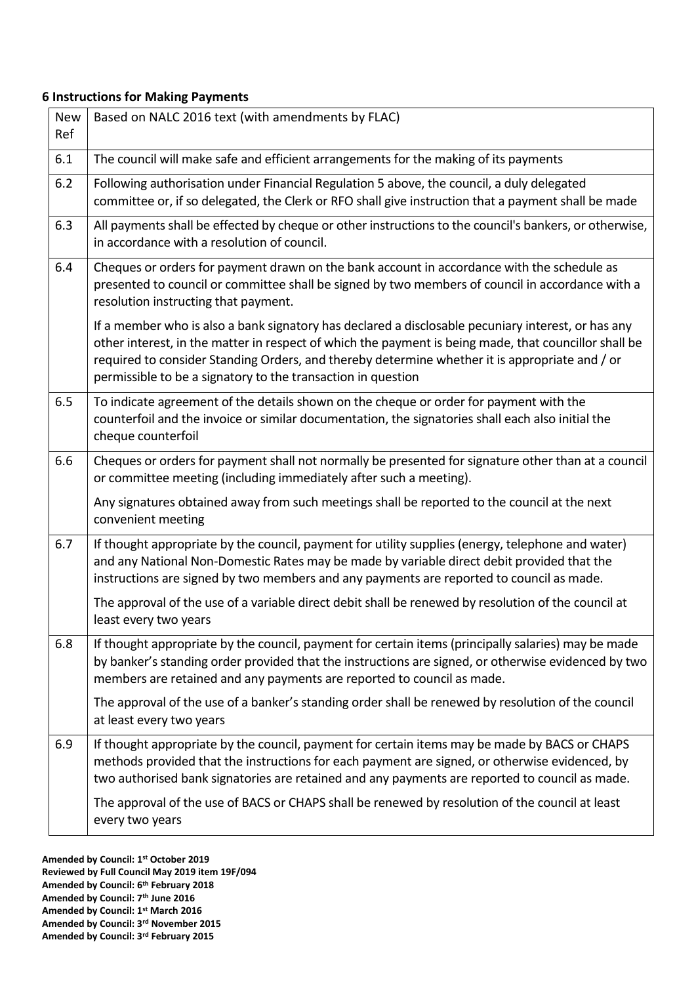## **6 Instructions for Making Payments**

| <b>New</b><br>Ref | Based on NALC 2016 text (with amendments by FLAC)                                                                                                                                                                                                                                                                                                                             |
|-------------------|-------------------------------------------------------------------------------------------------------------------------------------------------------------------------------------------------------------------------------------------------------------------------------------------------------------------------------------------------------------------------------|
| 6.1               | The council will make safe and efficient arrangements for the making of its payments                                                                                                                                                                                                                                                                                          |
| $6.2$             | Following authorisation under Financial Regulation 5 above, the council, a duly delegated<br>committee or, if so delegated, the Clerk or RFO shall give instruction that a payment shall be made                                                                                                                                                                              |
| 6.3               | All payments shall be effected by cheque or other instructions to the council's bankers, or otherwise,<br>in accordance with a resolution of council.                                                                                                                                                                                                                         |
| 6.4               | Cheques or orders for payment drawn on the bank account in accordance with the schedule as<br>presented to council or committee shall be signed by two members of council in accordance with a<br>resolution instructing that payment.                                                                                                                                        |
|                   | If a member who is also a bank signatory has declared a disclosable pecuniary interest, or has any<br>other interest, in the matter in respect of which the payment is being made, that councillor shall be<br>required to consider Standing Orders, and thereby determine whether it is appropriate and / or<br>permissible to be a signatory to the transaction in question |
| 6.5               | To indicate agreement of the details shown on the cheque or order for payment with the<br>counterfoil and the invoice or similar documentation, the signatories shall each also initial the<br>cheque counterfoil                                                                                                                                                             |
| 6.6               | Cheques or orders for payment shall not normally be presented for signature other than at a council<br>or committee meeting (including immediately after such a meeting).                                                                                                                                                                                                     |
|                   | Any signatures obtained away from such meetings shall be reported to the council at the next<br>convenient meeting                                                                                                                                                                                                                                                            |
| 6.7               | If thought appropriate by the council, payment for utility supplies (energy, telephone and water)<br>and any National Non-Domestic Rates may be made by variable direct debit provided that the<br>instructions are signed by two members and any payments are reported to council as made.                                                                                   |
|                   | The approval of the use of a variable direct debit shall be renewed by resolution of the council at<br>least every two years                                                                                                                                                                                                                                                  |
| 6.8               | If thought appropriate by the council, payment for certain items (principally salaries) may be made<br>by banker's standing order provided that the instructions are signed, or otherwise evidenced by two<br>members are retained and any payments are reported to council as made.                                                                                          |
|                   | The approval of the use of a banker's standing order shall be renewed by resolution of the council<br>at least every two years                                                                                                                                                                                                                                                |
| 6.9               | If thought appropriate by the council, payment for certain items may be made by BACS or CHAPS<br>methods provided that the instructions for each payment are signed, or otherwise evidenced, by<br>two authorised bank signatories are retained and any payments are reported to council as made.                                                                             |
|                   | The approval of the use of BACS or CHAPS shall be renewed by resolution of the council at least<br>every two years                                                                                                                                                                                                                                                            |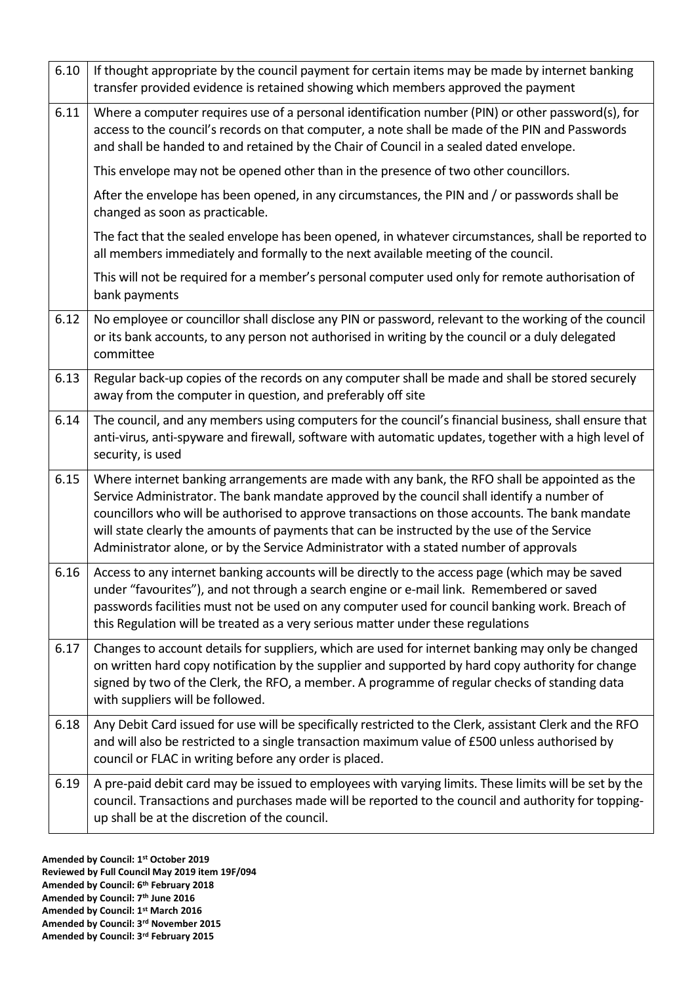| 6.10 | If thought appropriate by the council payment for certain items may be made by internet banking<br>transfer provided evidence is retained showing which members approved the payment                                                                                                                                                                                                                                                                                                   |
|------|----------------------------------------------------------------------------------------------------------------------------------------------------------------------------------------------------------------------------------------------------------------------------------------------------------------------------------------------------------------------------------------------------------------------------------------------------------------------------------------|
| 6.11 | Where a computer requires use of a personal identification number (PIN) or other password(s), for<br>access to the council's records on that computer, a note shall be made of the PIN and Passwords<br>and shall be handed to and retained by the Chair of Council in a sealed dated envelope.                                                                                                                                                                                        |
|      | This envelope may not be opened other than in the presence of two other councillors.                                                                                                                                                                                                                                                                                                                                                                                                   |
|      | After the envelope has been opened, in any circumstances, the PIN and / or passwords shall be<br>changed as soon as practicable.                                                                                                                                                                                                                                                                                                                                                       |
|      | The fact that the sealed envelope has been opened, in whatever circumstances, shall be reported to<br>all members immediately and formally to the next available meeting of the council.                                                                                                                                                                                                                                                                                               |
|      | This will not be required for a member's personal computer used only for remote authorisation of<br>bank payments                                                                                                                                                                                                                                                                                                                                                                      |
| 6.12 | No employee or councillor shall disclose any PIN or password, relevant to the working of the council<br>or its bank accounts, to any person not authorised in writing by the council or a duly delegated<br>committee                                                                                                                                                                                                                                                                  |
| 6.13 | Regular back-up copies of the records on any computer shall be made and shall be stored securely<br>away from the computer in question, and preferably off site                                                                                                                                                                                                                                                                                                                        |
| 6.14 | The council, and any members using computers for the council's financial business, shall ensure that<br>anti-virus, anti-spyware and firewall, software with automatic updates, together with a high level of<br>security, is used                                                                                                                                                                                                                                                     |
| 6.15 | Where internet banking arrangements are made with any bank, the RFO shall be appointed as the<br>Service Administrator. The bank mandate approved by the council shall identify a number of<br>councillors who will be authorised to approve transactions on those accounts. The bank mandate<br>will state clearly the amounts of payments that can be instructed by the use of the Service<br>Administrator alone, or by the Service Administrator with a stated number of approvals |
| 6.16 | Access to any internet banking accounts will be directly to the access page (which may be saved<br>under "favourites"), and not through a search engine or e-mail link. Remembered or saved<br>passwords facilities must not be used on any computer used for council banking work. Breach of<br>this Regulation will be treated as a very serious matter under these regulations                                                                                                      |
| 6.17 | Changes to account details for suppliers, which are used for internet banking may only be changed<br>on written hard copy notification by the supplier and supported by hard copy authority for change<br>signed by two of the Clerk, the RFO, a member. A programme of regular checks of standing data<br>with suppliers will be followed.                                                                                                                                            |
| 6.18 | Any Debit Card issued for use will be specifically restricted to the Clerk, assistant Clerk and the RFO<br>and will also be restricted to a single transaction maximum value of £500 unless authorised by<br>council or FLAC in writing before any order is placed.                                                                                                                                                                                                                    |
| 6.19 | A pre-paid debit card may be issued to employees with varying limits. These limits will be set by the<br>council. Transactions and purchases made will be reported to the council and authority for topping-<br>up shall be at the discretion of the council.                                                                                                                                                                                                                          |
|      |                                                                                                                                                                                                                                                                                                                                                                                                                                                                                        |

**Amended by Council: 1st October 2019**

- **Reviewed by Full Council May 2019 item 19F/094**
- **Amended by Council: 6th February 2018**
- **Amended by Council: 7th June 2016**
- **Amended by Council: 1st March 2016**
- **Amended by Council: 3rd November 2015**
- **Amended by Council: 3rd February 2015**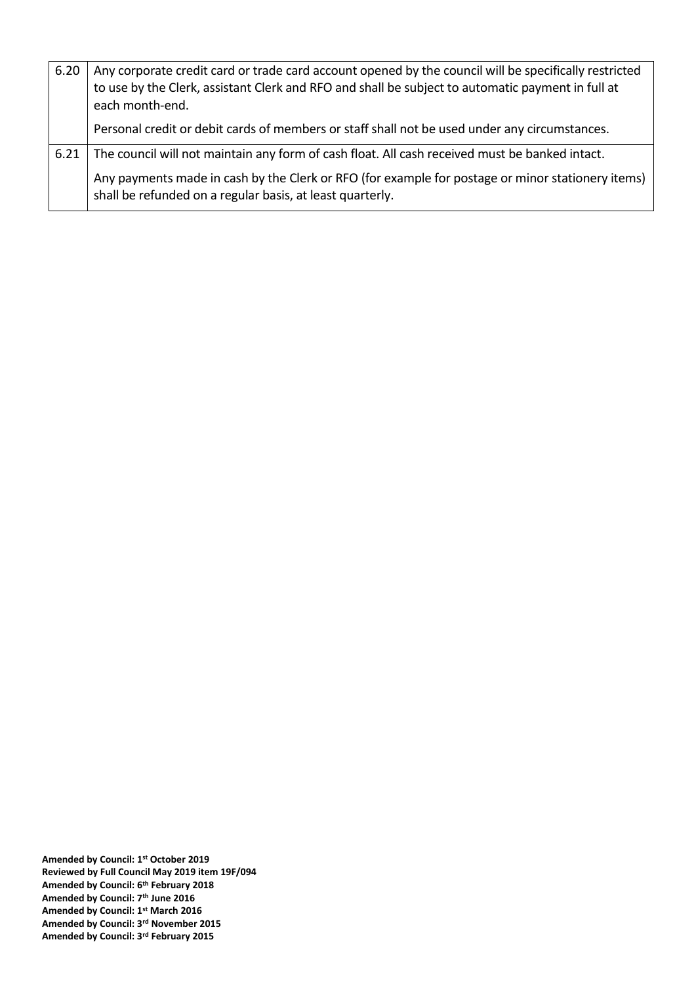| 6.20 | Any corporate credit card or trade card account opened by the council will be specifically restricted<br>to use by the Clerk, assistant Clerk and RFO and shall be subject to automatic payment in full at<br>each month-end. |
|------|-------------------------------------------------------------------------------------------------------------------------------------------------------------------------------------------------------------------------------|
|      | Personal credit or debit cards of members or staff shall not be used under any circumstances.                                                                                                                                 |
| 6.21 | The council will not maintain any form of cash float. All cash received must be banked intact.                                                                                                                                |
|      | Any payments made in cash by the Clerk or RFO (for example for postage or minor stationery items)<br>shall be refunded on a regular basis, at least quarterly.                                                                |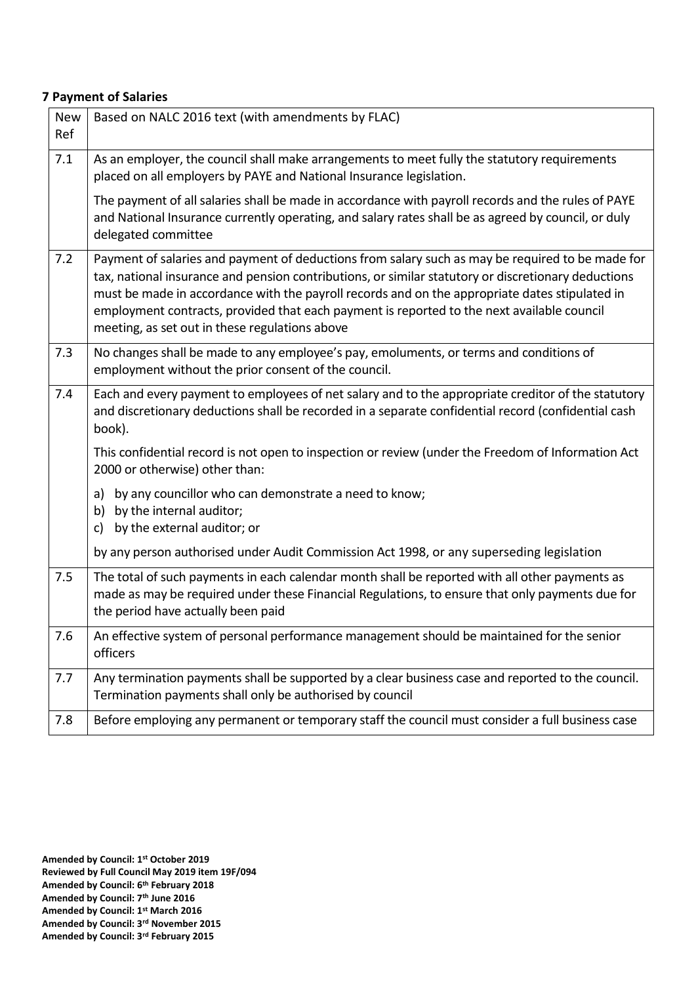## **7 Payment of Salaries**

| <b>New</b><br>Ref | Based on NALC 2016 text (with amendments by FLAC)                                                                                                                                                                                                                                                                                                                                                                                                         |
|-------------------|-----------------------------------------------------------------------------------------------------------------------------------------------------------------------------------------------------------------------------------------------------------------------------------------------------------------------------------------------------------------------------------------------------------------------------------------------------------|
| 7.1               | As an employer, the council shall make arrangements to meet fully the statutory requirements<br>placed on all employers by PAYE and National Insurance legislation.                                                                                                                                                                                                                                                                                       |
|                   | The payment of all salaries shall be made in accordance with payroll records and the rules of PAYE<br>and National Insurance currently operating, and salary rates shall be as agreed by council, or duly<br>delegated committee                                                                                                                                                                                                                          |
| 7.2               | Payment of salaries and payment of deductions from salary such as may be required to be made for<br>tax, national insurance and pension contributions, or similar statutory or discretionary deductions<br>must be made in accordance with the payroll records and on the appropriate dates stipulated in<br>employment contracts, provided that each payment is reported to the next available council<br>meeting, as set out in these regulations above |
| 7.3               | No changes shall be made to any employee's pay, emoluments, or terms and conditions of<br>employment without the prior consent of the council.                                                                                                                                                                                                                                                                                                            |
| 7.4               | Each and every payment to employees of net salary and to the appropriate creditor of the statutory<br>and discretionary deductions shall be recorded in a separate confidential record (confidential cash<br>book).                                                                                                                                                                                                                                       |
|                   | This confidential record is not open to inspection or review (under the Freedom of Information Act<br>2000 or otherwise) other than:                                                                                                                                                                                                                                                                                                                      |
|                   | by any councillor who can demonstrate a need to know;<br>a)<br>by the internal auditor;<br>b)<br>by the external auditor; or<br>c)                                                                                                                                                                                                                                                                                                                        |
|                   | by any person authorised under Audit Commission Act 1998, or any superseding legislation                                                                                                                                                                                                                                                                                                                                                                  |
| 7.5               | The total of such payments in each calendar month shall be reported with all other payments as<br>made as may be required under these Financial Regulations, to ensure that only payments due for<br>the period have actually been paid                                                                                                                                                                                                                   |
| 7.6               | An effective system of personal performance management should be maintained for the senior<br>officers                                                                                                                                                                                                                                                                                                                                                    |
| 7.7               | Any termination payments shall be supported by a clear business case and reported to the council.<br>Termination payments shall only be authorised by council                                                                                                                                                                                                                                                                                             |
| 7.8               | Before employing any permanent or temporary staff the council must consider a full business case                                                                                                                                                                                                                                                                                                                                                          |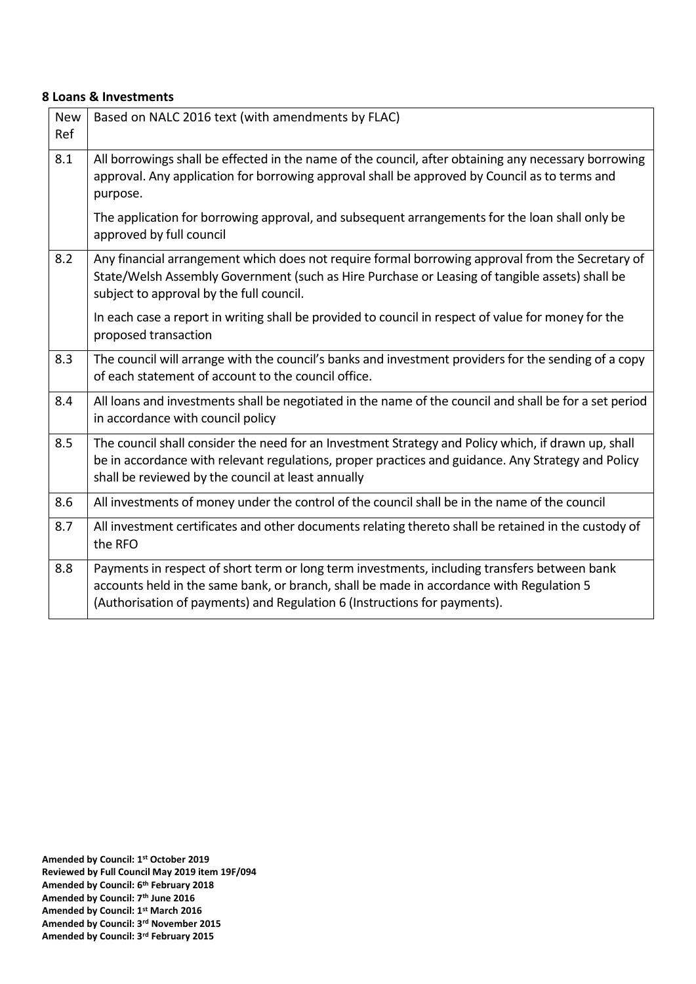## **8 Loans & Investments**

| <b>New</b><br>Ref | Based on NALC 2016 text (with amendments by FLAC)                                                                                                                                                                                                                     |
|-------------------|-----------------------------------------------------------------------------------------------------------------------------------------------------------------------------------------------------------------------------------------------------------------------|
| 8.1               | All borrowings shall be effected in the name of the council, after obtaining any necessary borrowing<br>approval. Any application for borrowing approval shall be approved by Council as to terms and<br>purpose.                                                     |
|                   | The application for borrowing approval, and subsequent arrangements for the loan shall only be<br>approved by full council                                                                                                                                            |
| 8.2               | Any financial arrangement which does not require formal borrowing approval from the Secretary of<br>State/Welsh Assembly Government (such as Hire Purchase or Leasing of tangible assets) shall be<br>subject to approval by the full council.                        |
|                   | In each case a report in writing shall be provided to council in respect of value for money for the<br>proposed transaction                                                                                                                                           |
| 8.3               | The council will arrange with the council's banks and investment providers for the sending of a copy<br>of each statement of account to the council office.                                                                                                           |
| 8.4               | All loans and investments shall be negotiated in the name of the council and shall be for a set period<br>in accordance with council policy                                                                                                                           |
| 8.5               | The council shall consider the need for an Investment Strategy and Policy which, if drawn up, shall<br>be in accordance with relevant regulations, proper practices and guidance. Any Strategy and Policy<br>shall be reviewed by the council at least annually       |
| 8.6               | All investments of money under the control of the council shall be in the name of the council                                                                                                                                                                         |
| 8.7               | All investment certificates and other documents relating thereto shall be retained in the custody of<br>the RFO                                                                                                                                                       |
| 8.8               | Payments in respect of short term or long term investments, including transfers between bank<br>accounts held in the same bank, or branch, shall be made in accordance with Regulation 5<br>(Authorisation of payments) and Regulation 6 (Instructions for payments). |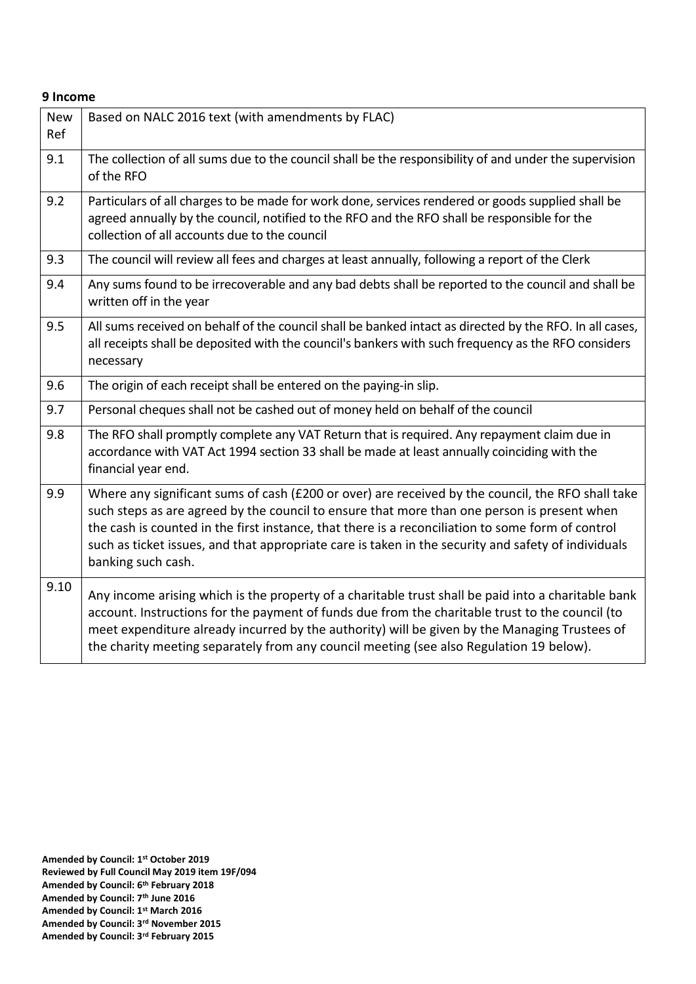## **9 Income**

| <b>New</b><br>Ref | Based on NALC 2016 text (with amendments by FLAC)                                                                                                                                                                                                                                                                                                                                                                                  |
|-------------------|------------------------------------------------------------------------------------------------------------------------------------------------------------------------------------------------------------------------------------------------------------------------------------------------------------------------------------------------------------------------------------------------------------------------------------|
| 9.1               | The collection of all sums due to the council shall be the responsibility of and under the supervision<br>of the RFO                                                                                                                                                                                                                                                                                                               |
| 9.2               | Particulars of all charges to be made for work done, services rendered or goods supplied shall be<br>agreed annually by the council, notified to the RFO and the RFO shall be responsible for the<br>collection of all accounts due to the council                                                                                                                                                                                 |
| 9.3               | The council will review all fees and charges at least annually, following a report of the Clerk                                                                                                                                                                                                                                                                                                                                    |
| 9.4               | Any sums found to be irrecoverable and any bad debts shall be reported to the council and shall be<br>written off in the year                                                                                                                                                                                                                                                                                                      |
| 9.5               | All sums received on behalf of the council shall be banked intact as directed by the RFO. In all cases,<br>all receipts shall be deposited with the council's bankers with such frequency as the RFO considers<br>necessary                                                                                                                                                                                                        |
| 9.6               | The origin of each receipt shall be entered on the paying-in slip.                                                                                                                                                                                                                                                                                                                                                                 |
| 9.7               | Personal cheques shall not be cashed out of money held on behalf of the council                                                                                                                                                                                                                                                                                                                                                    |
| 9.8               | The RFO shall promptly complete any VAT Return that is required. Any repayment claim due in<br>accordance with VAT Act 1994 section 33 shall be made at least annually coinciding with the<br>financial year end.                                                                                                                                                                                                                  |
| 9.9               | Where any significant sums of cash (£200 or over) are received by the council, the RFO shall take<br>such steps as are agreed by the council to ensure that more than one person is present when<br>the cash is counted in the first instance, that there is a reconciliation to some form of control<br>such as ticket issues, and that appropriate care is taken in the security and safety of individuals<br>banking such cash. |
| 9.10              | Any income arising which is the property of a charitable trust shall be paid into a charitable bank<br>account. Instructions for the payment of funds due from the charitable trust to the council (to<br>meet expenditure already incurred by the authority) will be given by the Managing Trustees of<br>the charity meeting separately from any council meeting (see also Regulation 19 below).                                 |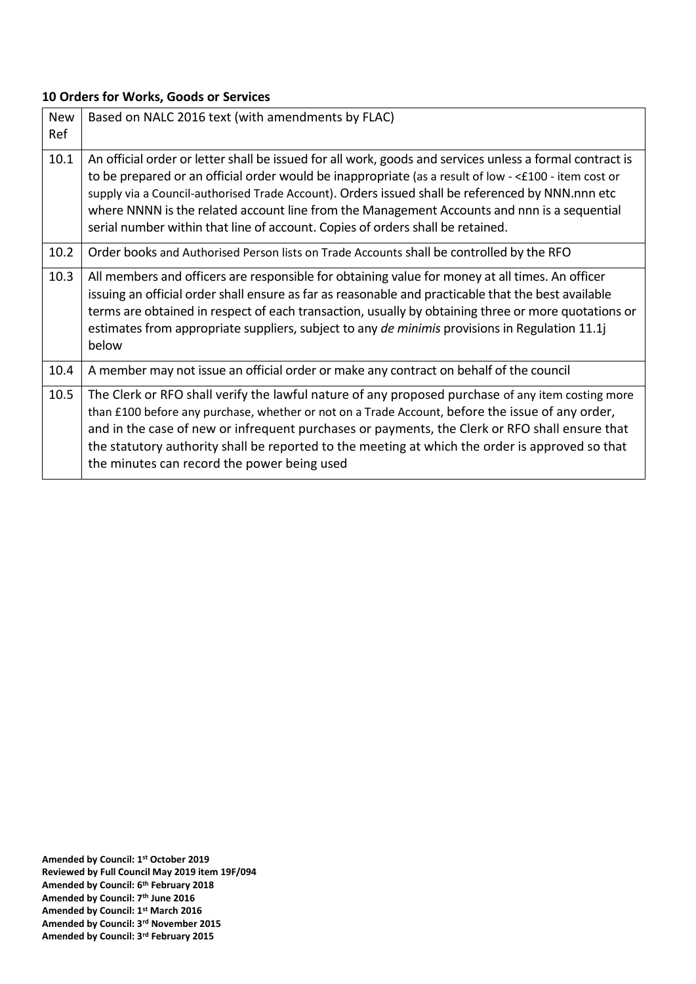## **10 Orders for Works, Goods or Services**

| <b>New</b><br>Ref | Based on NALC 2016 text (with amendments by FLAC)                                                                                                                                                                                                                                                                                                                                                                                                                                                      |
|-------------------|--------------------------------------------------------------------------------------------------------------------------------------------------------------------------------------------------------------------------------------------------------------------------------------------------------------------------------------------------------------------------------------------------------------------------------------------------------------------------------------------------------|
| 10.1              | An official order or letter shall be issued for all work, goods and services unless a formal contract is<br>to be prepared or an official order would be inappropriate (as a result of low - <£100 - item cost or<br>supply via a Council-authorised Trade Account). Orders issued shall be referenced by NNN.nnn etc<br>where NNNN is the related account line from the Management Accounts and nnn is a sequential<br>serial number within that line of account. Copies of orders shall be retained. |
| 10.2              | Order books and Authorised Person lists on Trade Accounts shall be controlled by the RFO                                                                                                                                                                                                                                                                                                                                                                                                               |
| 10.3              | All members and officers are responsible for obtaining value for money at all times. An officer<br>issuing an official order shall ensure as far as reasonable and practicable that the best available<br>terms are obtained in respect of each transaction, usually by obtaining three or more quotations or<br>estimates from appropriate suppliers, subject to any <i>de minimis</i> provisions in Regulation 11.1<br>below                                                                         |
| 10.4              | A member may not issue an official order or make any contract on behalf of the council                                                                                                                                                                                                                                                                                                                                                                                                                 |
| 10.5              | The Clerk or RFO shall verify the lawful nature of any proposed purchase of any item costing more<br>than £100 before any purchase, whether or not on a Trade Account, before the issue of any order,<br>and in the case of new or infrequent purchases or payments, the Clerk or RFO shall ensure that<br>the statutory authority shall be reported to the meeting at which the order is approved so that<br>the minutes can record the power being used                                              |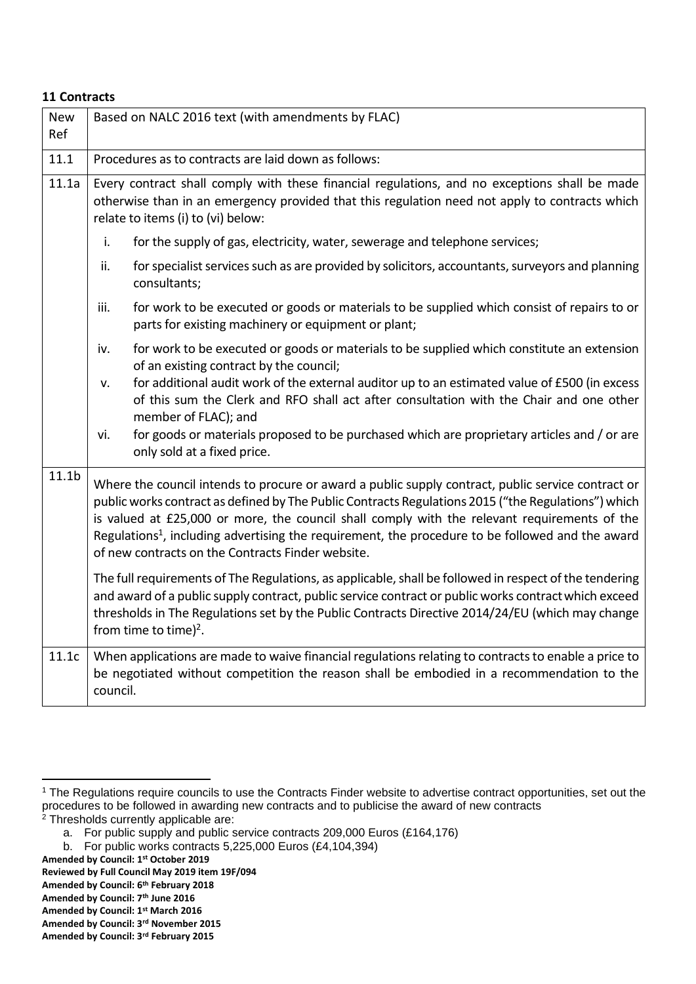#### **11 Contracts**

| <b>New</b><br>Ref | Based on NALC 2016 text (with amendments by FLAC)                                                                                                                                                                                                                                                                                                                                                                                                                              |
|-------------------|--------------------------------------------------------------------------------------------------------------------------------------------------------------------------------------------------------------------------------------------------------------------------------------------------------------------------------------------------------------------------------------------------------------------------------------------------------------------------------|
| 11.1              | Procedures as to contracts are laid down as follows:                                                                                                                                                                                                                                                                                                                                                                                                                           |
| 11.1a             | Every contract shall comply with these financial regulations, and no exceptions shall be made<br>otherwise than in an emergency provided that this regulation need not apply to contracts which<br>relate to items (i) to (vi) below:                                                                                                                                                                                                                                          |
|                   | i.<br>for the supply of gas, electricity, water, sewerage and telephone services;                                                                                                                                                                                                                                                                                                                                                                                              |
|                   | ii.<br>for specialist services such as are provided by solicitors, accountants, surveyors and planning<br>consultants;                                                                                                                                                                                                                                                                                                                                                         |
|                   | iii.<br>for work to be executed or goods or materials to be supplied which consist of repairs to or<br>parts for existing machinery or equipment or plant;                                                                                                                                                                                                                                                                                                                     |
|                   | for work to be executed or goods or materials to be supplied which constitute an extension<br>iv.<br>of an existing contract by the council;<br>for additional audit work of the external auditor up to an estimated value of £500 (in excess                                                                                                                                                                                                                                  |
|                   | v.<br>of this sum the Clerk and RFO shall act after consultation with the Chair and one other<br>member of FLAC); and                                                                                                                                                                                                                                                                                                                                                          |
|                   | for goods or materials proposed to be purchased which are proprietary articles and / or are<br>vi.<br>only sold at a fixed price.                                                                                                                                                                                                                                                                                                                                              |
| 11.1 <sub>b</sub> | Where the council intends to procure or award a public supply contract, public service contract or<br>public works contract as defined by The Public Contracts Regulations 2015 ("the Regulations") which<br>is valued at £25,000 or more, the council shall comply with the relevant requirements of the<br>Regulations <sup>1</sup> , including advertising the requirement, the procedure to be followed and the award<br>of new contracts on the Contracts Finder website. |
|                   | The full requirements of The Regulations, as applicable, shall be followed in respect of the tendering<br>and award of a public supply contract, public service contract or public works contract which exceed<br>thresholds in The Regulations set by the Public Contracts Directive 2014/24/EU (which may change<br>from time to time) <sup>2</sup> .                                                                                                                        |
| 11.1c             | When applications are made to waive financial regulations relating to contracts to enable a price to<br>be negotiated without competition the reason shall be embodied in a recommendation to the<br>council.                                                                                                                                                                                                                                                                  |

- **Amended by Council: 1st October 2019**
- **Reviewed by Full Council May 2019 item 19F/094**

**Amended by Council: 7th June 2016**

**Amended by Council: 3rd November 2015**

<sup>&</sup>lt;sup>1</sup> The Regulations require councils to use the Contracts Finder website to advertise contract opportunities, set out the procedures to be followed in awarding new contracts and to publicise the award of new contracts  $2$  Thresholds currently applicable are:

a. For public supply and public service contracts 209,000 Euros (£164,176)

b. For public works contracts 5,225,000 Euros (£4,104,394)

**Amended by Council: 6th February 2018**

**Amended by Council: 1st March 2016**

**Amended by Council: 3rd February 2015**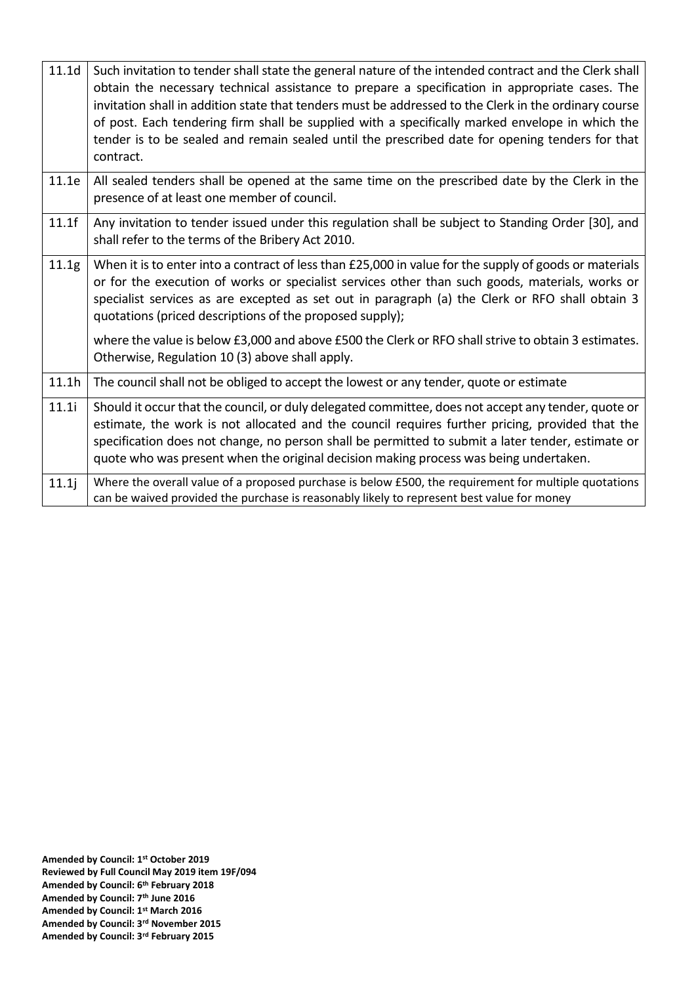| 11.1 <sub>d</sub> | Such invitation to tender shall state the general nature of the intended contract and the Clerk shall<br>obtain the necessary technical assistance to prepare a specification in appropriate cases. The<br>invitation shall in addition state that tenders must be addressed to the Clerk in the ordinary course<br>of post. Each tendering firm shall be supplied with a specifically marked envelope in which the<br>tender is to be sealed and remain sealed until the prescribed date for opening tenders for that<br>contract. |
|-------------------|-------------------------------------------------------------------------------------------------------------------------------------------------------------------------------------------------------------------------------------------------------------------------------------------------------------------------------------------------------------------------------------------------------------------------------------------------------------------------------------------------------------------------------------|
| 11.1e             | All sealed tenders shall be opened at the same time on the prescribed date by the Clerk in the<br>presence of at least one member of council.                                                                                                                                                                                                                                                                                                                                                                                       |
| 11.1f             | Any invitation to tender issued under this regulation shall be subject to Standing Order [30], and<br>shall refer to the terms of the Bribery Act 2010.                                                                                                                                                                                                                                                                                                                                                                             |
| 11.1g             | When it is to enter into a contract of less than £25,000 in value for the supply of goods or materials<br>or for the execution of works or specialist services other than such goods, materials, works or<br>specialist services as are excepted as set out in paragraph (a) the Clerk or RFO shall obtain 3<br>quotations (priced descriptions of the proposed supply);                                                                                                                                                            |
|                   | where the value is below £3,000 and above £500 the Clerk or RFO shall strive to obtain 3 estimates.<br>Otherwise, Regulation 10 (3) above shall apply.                                                                                                                                                                                                                                                                                                                                                                              |
| 11.1h             | The council shall not be obliged to accept the lowest or any tender, quote or estimate                                                                                                                                                                                                                                                                                                                                                                                                                                              |
| 11.1i             | Should it occur that the council, or duly delegated committee, does not accept any tender, quote or<br>estimate, the work is not allocated and the council requires further pricing, provided that the<br>specification does not change, no person shall be permitted to submit a later tender, estimate or<br>quote who was present when the original decision making process was being undertaken.                                                                                                                                |
| 11.1j             | Where the overall value of a proposed purchase is below £500, the requirement for multiple quotations<br>can be waived provided the purchase is reasonably likely to represent best value for money                                                                                                                                                                                                                                                                                                                                 |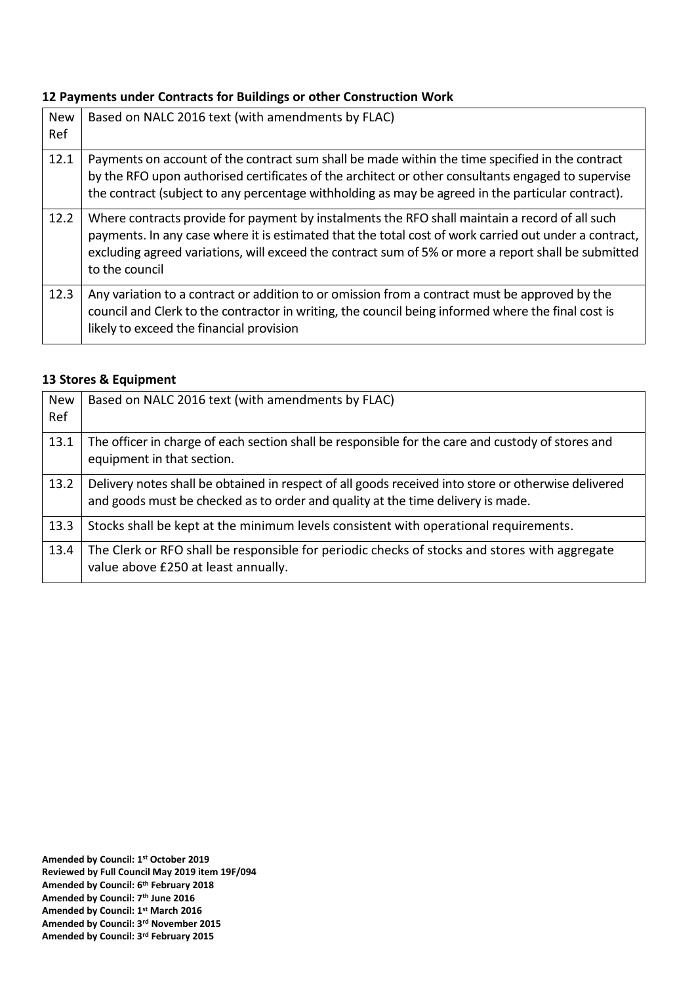#### **12 Payments under Contracts for Buildings or other Construction Work**

| <b>New</b><br>Ref | Based on NALC 2016 text (with amendments by FLAC)                                                                                                                                                                                                                                                                                |
|-------------------|----------------------------------------------------------------------------------------------------------------------------------------------------------------------------------------------------------------------------------------------------------------------------------------------------------------------------------|
| 12.1              | Payments on account of the contract sum shall be made within the time specified in the contract<br>by the RFO upon authorised certificates of the architect or other consultants engaged to supervise<br>the contract (subject to any percentage withholding as may be agreed in the particular contract).                       |
| 12.2              | Where contracts provide for payment by instalments the RFO shall maintain a record of all such<br>payments. In any case where it is estimated that the total cost of work carried out under a contract,<br>excluding agreed variations, will exceed the contract sum of 5% or more a report shall be submitted<br>to the council |
| 12.3              | Any variation to a contract or addition to or omission from a contract must be approved by the<br>council and Clerk to the contractor in writing, the council being informed where the final cost is<br>likely to exceed the financial provision                                                                                 |

#### **13 Stores & Equipment**

| <b>New</b><br>Ref | Based on NALC 2016 text (with amendments by FLAC)                                                                                                                                      |
|-------------------|----------------------------------------------------------------------------------------------------------------------------------------------------------------------------------------|
| 13.1              | The officer in charge of each section shall be responsible for the care and custody of stores and<br>equipment in that section.                                                        |
| 13.2              | Delivery notes shall be obtained in respect of all goods received into store or otherwise delivered<br>and goods must be checked as to order and quality at the time delivery is made. |
| 13.3              | Stocks shall be kept at the minimum levels consistent with operational requirements.                                                                                                   |
| 13.4              | The Clerk or RFO shall be responsible for periodic checks of stocks and stores with aggregate<br>value above £250 at least annually.                                                   |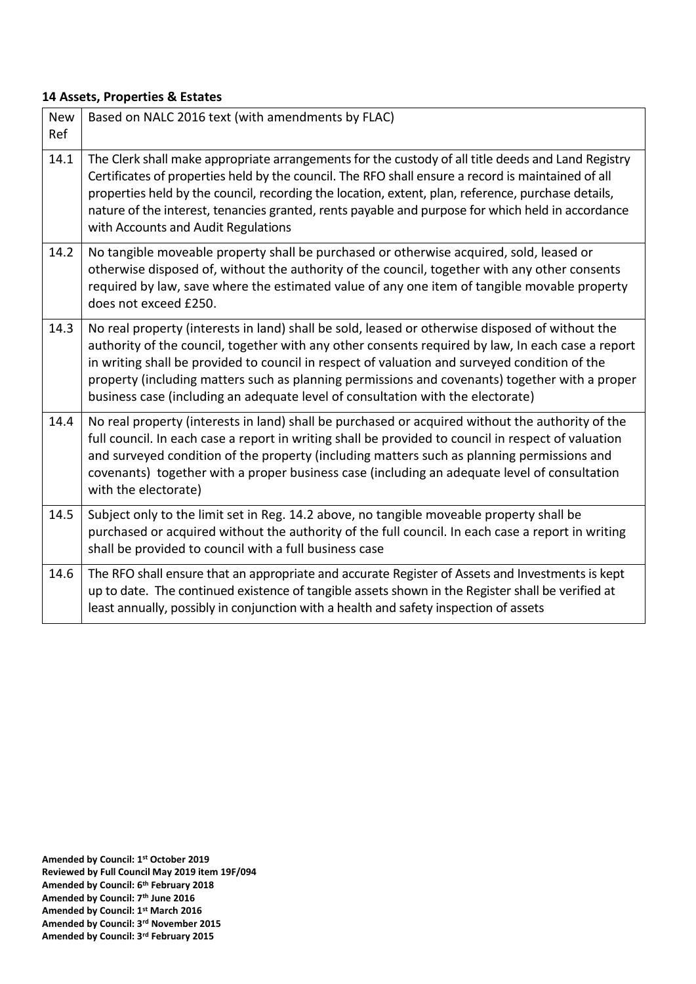## **14 Assets, Properties & Estates**

| <b>New</b><br>Ref | Based on NALC 2016 text (with amendments by FLAC)                                                                                                                                                                                                                                                                                                                                                                                                                                          |
|-------------------|--------------------------------------------------------------------------------------------------------------------------------------------------------------------------------------------------------------------------------------------------------------------------------------------------------------------------------------------------------------------------------------------------------------------------------------------------------------------------------------------|
| 14.1              | The Clerk shall make appropriate arrangements for the custody of all title deeds and Land Registry<br>Certificates of properties held by the council. The RFO shall ensure a record is maintained of all<br>properties held by the council, recording the location, extent, plan, reference, purchase details,<br>nature of the interest, tenancies granted, rents payable and purpose for which held in accordance<br>with Accounts and Audit Regulations                                 |
| 14.2              | No tangible moveable property shall be purchased or otherwise acquired, sold, leased or<br>otherwise disposed of, without the authority of the council, together with any other consents<br>required by law, save where the estimated value of any one item of tangible movable property<br>does not exceed £250.                                                                                                                                                                          |
| 14.3              | No real property (interests in land) shall be sold, leased or otherwise disposed of without the<br>authority of the council, together with any other consents required by law, In each case a report<br>in writing shall be provided to council in respect of valuation and surveyed condition of the<br>property (including matters such as planning permissions and covenants) together with a proper<br>business case (including an adequate level of consultation with the electorate) |
| 14.4              | No real property (interests in land) shall be purchased or acquired without the authority of the<br>full council. In each case a report in writing shall be provided to council in respect of valuation<br>and surveyed condition of the property (including matters such as planning permissions and<br>covenants) together with a proper business case (including an adequate level of consultation<br>with the electorate)                                                              |
| 14.5              | Subject only to the limit set in Reg. 14.2 above, no tangible moveable property shall be<br>purchased or acquired without the authority of the full council. In each case a report in writing<br>shall be provided to council with a full business case                                                                                                                                                                                                                                    |
| 14.6              | The RFO shall ensure that an appropriate and accurate Register of Assets and Investments is kept<br>up to date. The continued existence of tangible assets shown in the Register shall be verified at<br>least annually, possibly in conjunction with a health and safety inspection of assets                                                                                                                                                                                             |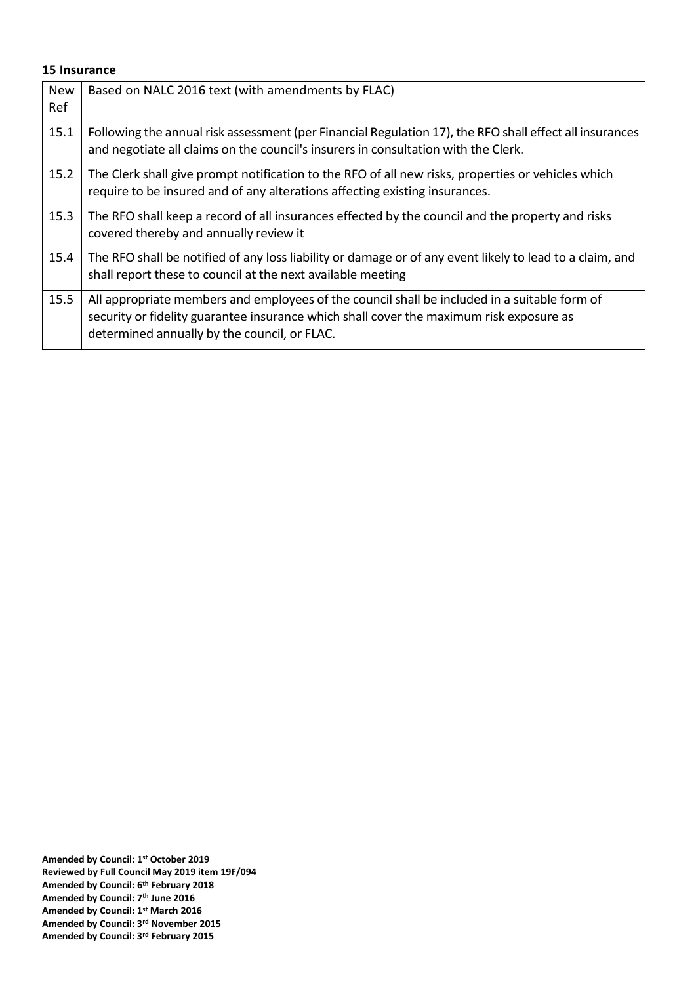#### **15 Insurance**

| <b>New</b><br>Ref | Based on NALC 2016 text (with amendments by FLAC)                                                                                                                                                                                       |
|-------------------|-----------------------------------------------------------------------------------------------------------------------------------------------------------------------------------------------------------------------------------------|
| 15.1              | Following the annual risk assessment (per Financial Regulation 17), the RFO shall effect all insurances<br>and negotiate all claims on the council's insurers in consultation with the Clerk.                                           |
| 15.2              | The Clerk shall give prompt notification to the RFO of all new risks, properties or vehicles which<br>require to be insured and of any alterations affecting existing insurances.                                                       |
| 15.3              | The RFO shall keep a record of all insurances effected by the council and the property and risks<br>covered thereby and annually review it                                                                                              |
| 15.4              | The RFO shall be notified of any loss liability or damage or of any event likely to lead to a claim, and<br>shall report these to council at the next available meeting                                                                 |
| 15.5              | All appropriate members and employees of the council shall be included in a suitable form of<br>security or fidelity guarantee insurance which shall cover the maximum risk exposure as<br>determined annually by the council, or FLAC. |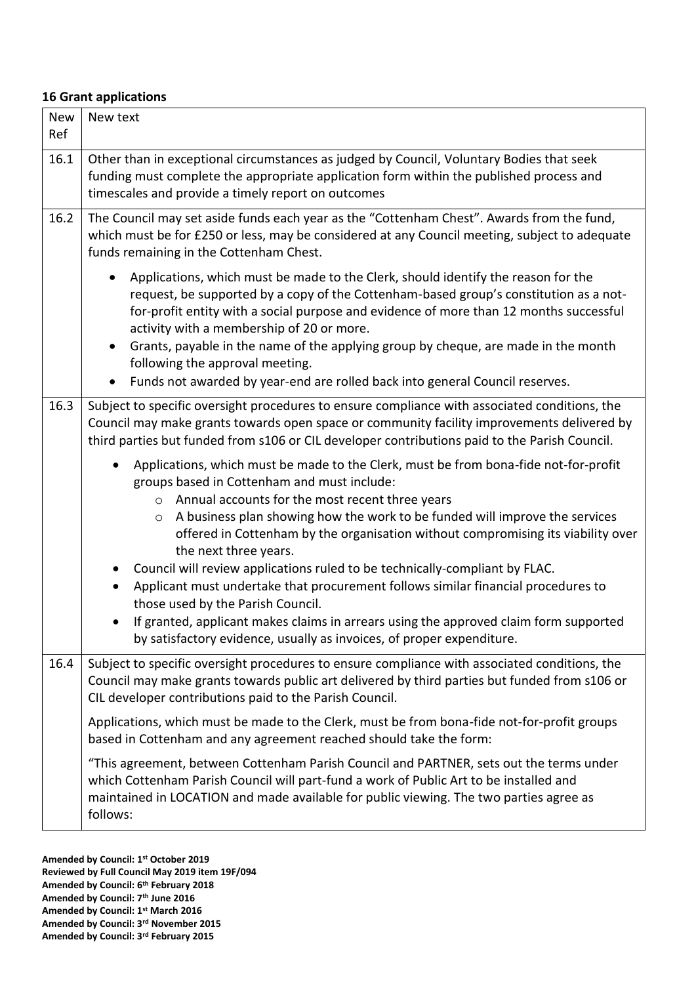#### **16 Grant applications**

| <b>New</b><br>Ref | New text                                                                                                                                                                                                                                                                                                                                                                                                                                                                                                                                                                                                                                                                                                                                                                                                      |
|-------------------|---------------------------------------------------------------------------------------------------------------------------------------------------------------------------------------------------------------------------------------------------------------------------------------------------------------------------------------------------------------------------------------------------------------------------------------------------------------------------------------------------------------------------------------------------------------------------------------------------------------------------------------------------------------------------------------------------------------------------------------------------------------------------------------------------------------|
| 16.1              | Other than in exceptional circumstances as judged by Council, Voluntary Bodies that seek<br>funding must complete the appropriate application form within the published process and<br>timescales and provide a timely report on outcomes                                                                                                                                                                                                                                                                                                                                                                                                                                                                                                                                                                     |
| 16.2              | The Council may set aside funds each year as the "Cottenham Chest". Awards from the fund,<br>which must be for £250 or less, may be considered at any Council meeting, subject to adequate<br>funds remaining in the Cottenham Chest.<br>Applications, which must be made to the Clerk, should identify the reason for the<br>request, be supported by a copy of the Cottenham-based group's constitution as a not-<br>for-profit entity with a social purpose and evidence of more than 12 months successful<br>activity with a membership of 20 or more.<br>Grants, payable in the name of the applying group by cheque, are made in the month<br>$\bullet$                                                                                                                                                 |
|                   | following the approval meeting.<br>Funds not awarded by year-end are rolled back into general Council reserves.<br>$\bullet$                                                                                                                                                                                                                                                                                                                                                                                                                                                                                                                                                                                                                                                                                  |
| 16.3              | Subject to specific oversight procedures to ensure compliance with associated conditions, the<br>Council may make grants towards open space or community facility improvements delivered by<br>third parties but funded from s106 or CIL developer contributions paid to the Parish Council.                                                                                                                                                                                                                                                                                                                                                                                                                                                                                                                  |
|                   | Applications, which must be made to the Clerk, must be from bona-fide not-for-profit<br>$\bullet$<br>groups based in Cottenham and must include:<br>Annual accounts for the most recent three years<br>$\circ$<br>A business plan showing how the work to be funded will improve the services<br>$\circ$<br>offered in Cottenham by the organisation without compromising its viability over<br>the next three years.<br>Council will review applications ruled to be technically-compliant by FLAC.<br>$\bullet$<br>Applicant must undertake that procurement follows similar financial procedures to<br>those used by the Parish Council.<br>If granted, applicant makes claims in arrears using the approved claim form supported<br>by satisfactory evidence, usually as invoices, of proper expenditure. |
| 16.4              | Subject to specific oversight procedures to ensure compliance with associated conditions, the<br>Council may make grants towards public art delivered by third parties but funded from s106 or<br>CIL developer contributions paid to the Parish Council.                                                                                                                                                                                                                                                                                                                                                                                                                                                                                                                                                     |
|                   | Applications, which must be made to the Clerk, must be from bona-fide not-for-profit groups<br>based in Cottenham and any agreement reached should take the form:                                                                                                                                                                                                                                                                                                                                                                                                                                                                                                                                                                                                                                             |
|                   | "This agreement, between Cottenham Parish Council and PARTNER, sets out the terms under<br>which Cottenham Parish Council will part-fund a work of Public Art to be installed and<br>maintained in LOCATION and made available for public viewing. The two parties agree as<br>follows:                                                                                                                                                                                                                                                                                                                                                                                                                                                                                                                       |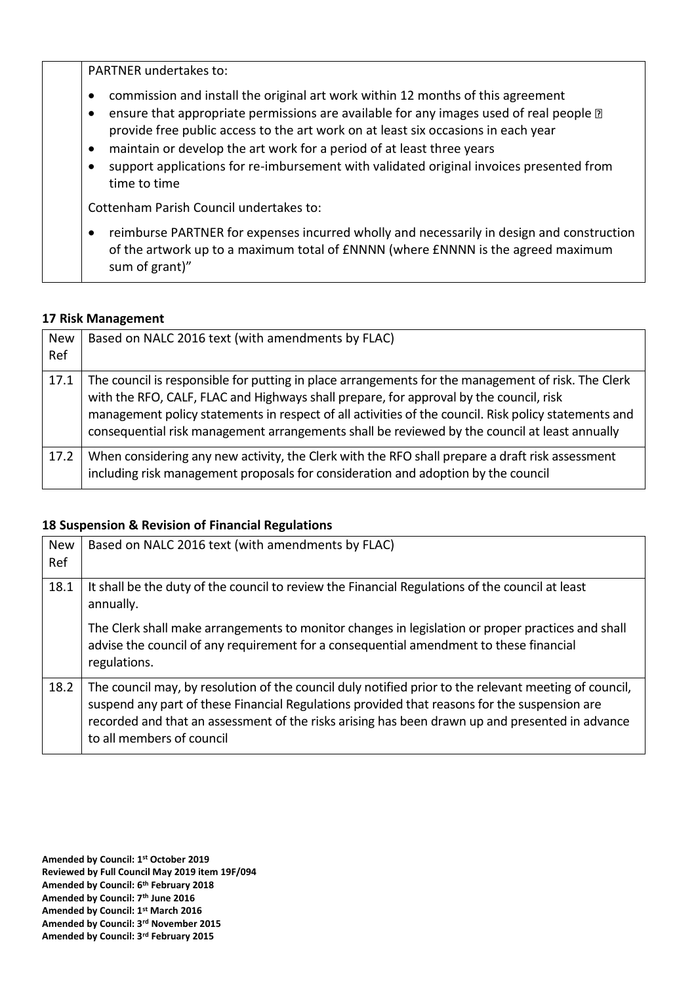PARTNER undertakes to: • commission and install the original art work within 12 months of this agreement • ensure that appropriate permissions are available for any images used of real people  $\mathbb D$ provide free public access to the art work on at least six occasions in each year • maintain or develop the art work for a period of at least three years • support applications for re-imbursement with validated original invoices presented from time to time Cottenham Parish Council undertakes to: • reimburse PARTNER for expenses incurred wholly and necessarily in design and construction of the artwork up to a maximum total of £NNNN (where £NNNN is the agreed maximum sum of grant)"

## **17 Risk Management**

| <b>New</b><br>Ref | Based on NALC 2016 text (with amendments by FLAC)                                                                                                                                                                                                                                                                                                                                                     |
|-------------------|-------------------------------------------------------------------------------------------------------------------------------------------------------------------------------------------------------------------------------------------------------------------------------------------------------------------------------------------------------------------------------------------------------|
| 17.1              | The council is responsible for putting in place arrangements for the management of risk. The Clerk<br>with the RFO, CALF, FLAC and Highways shall prepare, for approval by the council, risk<br>management policy statements in respect of all activities of the council. Risk policy statements and<br>consequential risk management arrangements shall be reviewed by the council at least annually |
| 17.2              | When considering any new activity, the Clerk with the RFO shall prepare a draft risk assessment<br>including risk management proposals for consideration and adoption by the council                                                                                                                                                                                                                  |

## **18 Suspension & Revision of Financial Regulations**

| <b>New</b><br>Ref | Based on NALC 2016 text (with amendments by FLAC)                                                                                                                                                                                                                                                                                     |
|-------------------|---------------------------------------------------------------------------------------------------------------------------------------------------------------------------------------------------------------------------------------------------------------------------------------------------------------------------------------|
| 18.1              | It shall be the duty of the council to review the Financial Regulations of the council at least<br>annually.                                                                                                                                                                                                                          |
|                   | The Clerk shall make arrangements to monitor changes in legislation or proper practices and shall<br>advise the council of any requirement for a consequential amendment to these financial<br>regulations.                                                                                                                           |
| 18.2              | The council may, by resolution of the council duly notified prior to the relevant meeting of council,<br>suspend any part of these Financial Regulations provided that reasons for the suspension are<br>recorded and that an assessment of the risks arising has been drawn up and presented in advance<br>to all members of council |